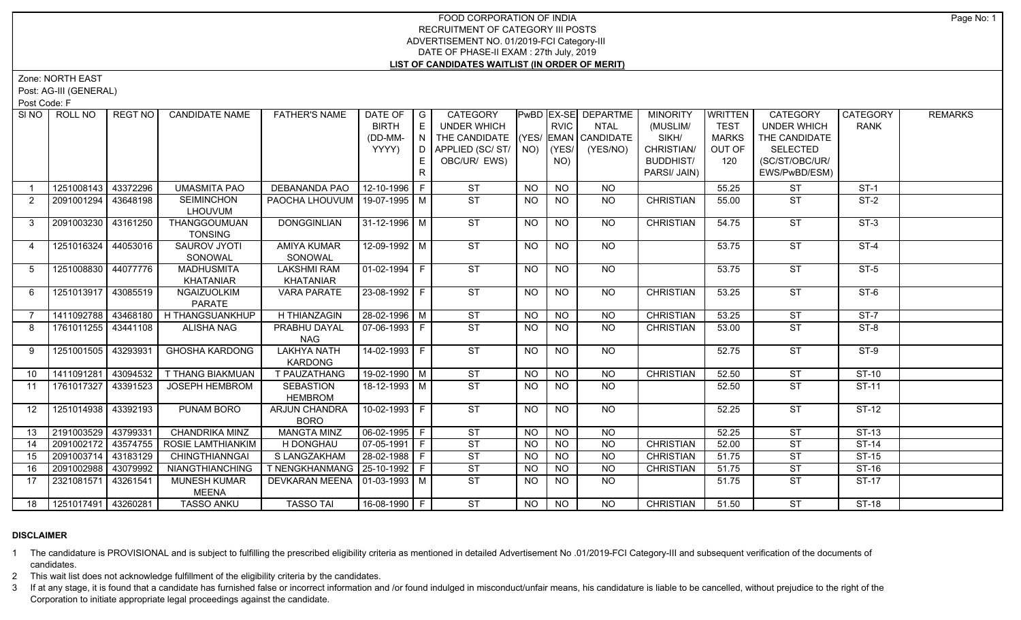## FOOD CORPORATION OF INDIA RECRUITMENT OF CATEGORY III POSTS ADVERTISEMENT NO. 01/2019-FCI Category-III DATE OF PHASE-II EXAM : 27th July, 2019 **LIST OF CANDIDATES WAITLIST (IN ORDER OF MERIT)**

Zone: NORTH EAST

Post: AG-III (GENERAL)

Post Code: F

| SI NO I | ROLL NO             | REGT NO  | <b>CANDIDATE NAME</b>               | <b>FATHER'S NAME</b>                 | DATE OF<br><b>BIRTH</b><br>(DD-MM-<br>YYYY) | $\overline{\phantom{a}}$ $\overline{\phantom{a}}$<br>E<br>N<br>D.<br>E | CATEGORY<br><b>UNDER WHICH</b><br>THE CANDIDATE (YES/ EMAN CANDIDATE<br>APPLIED (SC/ ST/   NO)   (YES/<br>OBC/UR/ EWS) |           | <b>RVIC</b><br>NO) | PwBD EX-SE DEPARTME<br><b>NTAL</b><br>(YES/NO) | <b>MINORITY</b><br>(MUSLIM/<br>SIKH/<br>CHRISTIAN/<br><b>BUDDHIST/</b> | WRITTEN<br><b>TEST</b><br><b>MARKS</b><br>OUT OF<br>120 | <b>CATEGORY</b><br><b>UNDER WHICH</b><br>THE CANDIDATE<br><b>SELECTED</b><br>(SC/ST/OBC/UR/ | CATEGORY<br><b>RANK</b> | <b>REMARKS</b> |
|---------|---------------------|----------|-------------------------------------|--------------------------------------|---------------------------------------------|------------------------------------------------------------------------|------------------------------------------------------------------------------------------------------------------------|-----------|--------------------|------------------------------------------------|------------------------------------------------------------------------|---------------------------------------------------------|---------------------------------------------------------------------------------------------|-------------------------|----------------|
|         |                     |          |                                     |                                      |                                             | $\mathsf{R}$                                                           |                                                                                                                        |           |                    |                                                | PARSI/ JAIN)                                                           |                                                         | EWS/PwBD/ESM)                                                                               |                         |                |
|         | 1251008143          | 43372296 | <b>UMASMITA PAO</b>                 | DEBANANDA PAO                        | 12-10-1996 F                                |                                                                        | <b>ST</b>                                                                                                              | <b>NO</b> | <b>NO</b>          | <b>NO</b>                                      |                                                                        | 55.25                                                   | <b>ST</b>                                                                                   | $ST-1$                  |                |
| 2       | 2091001294          | 43648198 | <b>SEIMINCHON</b><br>LHOUVUM        | PAOCHA LHOUVUM   19-07-1995   M      |                                             |                                                                        | ST                                                                                                                     | NO.       | <b>NO</b>          | NO                                             | <b>CHRISTIAN</b>                                                       | 55.00                                                   | <b>ST</b>                                                                                   | $ST-2$                  |                |
| 3       | 2091003230          | 43161250 | THANGGOUMUAN<br><b>TONSING</b>      | <b>DONGGINLIAN</b>                   | 31-12-1996   M                              |                                                                        | <b>ST</b>                                                                                                              | <b>NO</b> | <b>NO</b>          | NO                                             | <b>CHRISTIAN</b>                                                       | 54.75                                                   | <b>ST</b>                                                                                   | $ST-3$                  |                |
| 4       | 1251016324          | 44053016 | SAUROV JYOTI<br>SONOWAL             | <b>AMIYA KUMAR</b><br>SONOWAL        | 12-09-1992 M                                |                                                                        | ST                                                                                                                     | <b>NO</b> | $\overline{NQ}$    | NO                                             |                                                                        | 53.75                                                   | $\overline{\text{ST}}$                                                                      | $ST-4$                  |                |
| 5       | 1251008830 44077776 |          | <b>MADHUSMITA</b><br>KHATANIAR      | <b>LAKSHMI RAM</b><br>KHATANIAR      | $ 01-02-1994 F$                             |                                                                        | ST                                                                                                                     | <b>NO</b> | $\overline{NO}$    | $N$ <sup>O</sup>                               |                                                                        | 53.75                                                   | $\overline{\text{ST}}$                                                                      | $ST-5$                  |                |
| 6       | 1251013917 43085519 |          | NGAIZUOLKIM<br>PARATE               | <b>VARA PARATE</b>                   | 23-08-1992 F                                |                                                                        | ST                                                                                                                     | NO.       | <b>NO</b>          | NO                                             | <b>CHRISTIAN</b>                                                       | 53.25                                                   | <b>ST</b>                                                                                   | $ST-6$                  |                |
| 7       | 1411092788          | 43468180 | H THANGSUANKHUP                     | <b>H THIANZAGIN</b>                  | 28-02-1996 M                                |                                                                        | ST                                                                                                                     | <b>NO</b> | NO                 | <b>NO</b>                                      | <b>CHRISTIAN</b>                                                       | 53.25                                                   | <b>ST</b>                                                                                   | $ST-7$                  |                |
| 8       | 1761011255 43441108 |          | <b>ALISHA NAG</b>                   | PRABHU DAYAL<br><b>NAG</b>           | 07-06-1993   F                              |                                                                        | ST                                                                                                                     | <b>NO</b> | NO                 | NO                                             | <b>CHRISTIAN</b>                                                       | 53.00                                                   | <b>ST</b>                                                                                   | ST-8                    |                |
| 9       | 1251001505 43293931 |          | <b>GHOSHA KARDONG</b>               | <b>LAKHYA NATH</b><br><b>KARDONG</b> | 14-02-1993 F                                |                                                                        | ST                                                                                                                     | <b>NO</b> | <b>NO</b>          | <b>NO</b>                                      |                                                                        | 52.75                                                   | <b>ST</b>                                                                                   | $ST-9$                  |                |
| 10      | 1411091281          | 43094532 | T THANG BIAKMUAN                    | T PAUZATHANG                         | $19-02-1990$ M                              |                                                                        | <b>ST</b>                                                                                                              | <b>NO</b> | $\overline{NO}$    | <b>NO</b>                                      | <b>CHRISTIAN</b>                                                       | 52.50                                                   | <b>ST</b>                                                                                   | $ST-10$                 |                |
| 11      | 1761017327          | 43391523 | <b>JOSEPH HEMBROM</b>               | <b>SEBASTION</b><br><b>HEMBROM</b>   | 18-12-1993 M                                |                                                                        | ST                                                                                                                     | <b>NO</b> | NO                 | $\overline{NO}$                                |                                                                        | 52.50                                                   | <b>ST</b>                                                                                   | $ST-11$                 |                |
| 12      | 1251014938 43392193 |          | <b>PUNAM BORO</b>                   | ARJUN CHANDRA<br><b>BORO</b>         | $10-02-1993$ F                              |                                                                        | ST                                                                                                                     | <b>NO</b> | <b>NO</b>          | NO                                             |                                                                        | 52.25                                                   | $\overline{\text{ST}}$                                                                      | $ST-12$                 |                |
| 13      | 2191003529 43799331 |          | <b>CHANDRIKA MINZ</b>               | <b>MANGTA MINZ</b>                   | 06-02-1995 F                                |                                                                        | ST                                                                                                                     | <b>NO</b> | $N$ O              | <b>NO</b>                                      |                                                                        | 52.25                                                   | <b>ST</b>                                                                                   | $ST-13$                 |                |
| 14      | 2091002172          | 43574755 | <b>ROSIE LAMTHIANKIM</b>            | H DONGHAU                            | $\boxed{07-05-1991}$ F                      |                                                                        | $\overline{\text{ST}}$                                                                                                 | <b>NO</b> | $N$ O              | $N$ O                                          | <b>CHRISTIAN</b>                                                       | 52.00                                                   | <b>ST</b>                                                                                   | $ST-14$                 |                |
| 15      | 2091003714          | 43183129 | <b>CHINGTHIANNGAI</b>               | S LANGZAKHAM                         | $28-02-1988$ F                              |                                                                        | ST                                                                                                                     | <b>NO</b> | <b>NO</b>          | <b>NO</b>                                      | <b>CHRISTIAN</b>                                                       | 51.75                                                   | <b>ST</b>                                                                                   | $ST-15$                 |                |
| 16      | 2091002988          | 43079992 | <b>NIANGTHIANCHING</b>              | T NENGKHANMANG   25-10-1992   F      |                                             |                                                                        | $\overline{\text{ST}}$                                                                                                 | <b>NO</b> | <b>NO</b>          | $N$ O                                          | <b>CHRISTIAN</b>                                                       | 51.75                                                   | <b>ST</b>                                                                                   | $ST-16$                 |                |
| 17      | 2321081571          | 43261541 | <b>MUNESH KUMAR</b><br><b>MEENA</b> | DEVKARAN MEENA   01-03-1993   M      |                                             |                                                                        | ST                                                                                                                     | NO.       | NO                 | NO.                                            |                                                                        | 51.75                                                   | <b>ST</b>                                                                                   | ST-17                   |                |
| 18      | 1251017491 43260281 |          | <b>TASSO ANKU</b>                   | <b>TASSO TAI</b>                     | 16-08-1990 F                                |                                                                        | ST                                                                                                                     | NO        | NO                 | NO.                                            | <b>CHRISTIAN</b>                                                       | 51.50                                                   | <b>ST</b>                                                                                   | <b>ST-18</b>            |                |

## **DISCLAIMER**

1 The candidature is PROVISIONAL and is subject to fulfilling the prescribed eligibility criteria as mentioned in detailed Advertisement No .01/2019-FCI Category-III and subsequent verification of the documents of candidates.

2 This wait list does not acknowledge fulfillment of the eligibility criteria by the candidates.

3 If at any stage, it is found that a candidate has furnished false or incorrect information and /or found indulged in misconduct/unfair means, his candidature is liable to be cancelled, without prejudice to the right of t Corporation to initiate appropriate legal proceedings against the candidate.

Page No: 1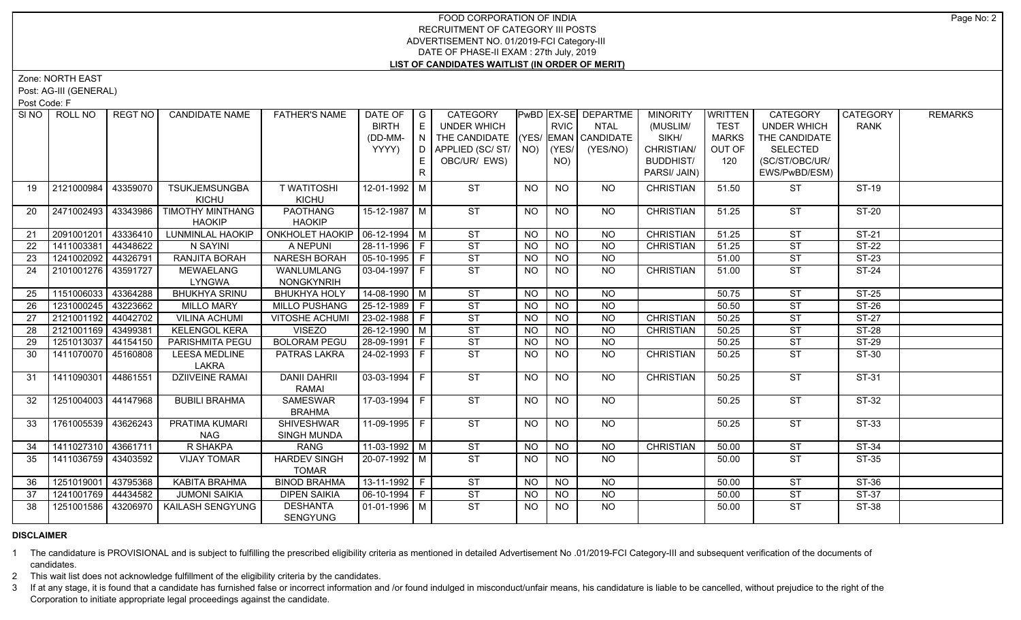## FOOD CORPORATION OF INDIA RECRUITMENT OF CATEGORY III POSTS ADVERTISEMENT NO. 01/2019-FCI Category-III DATE OF PHASE-II EXAM : 27th July, 2019 **LIST OF CANDIDATES WAITLIST (IN ORDER OF MERIT)**

# Zone: NORTH EAST

Post: AG-III (GENERAL)

Post Code: F

|    | SINO   ROLL NO        | REGT NO I | <b>CANDIDATE NAME</b>         | <b>FATHER'S NAME</b>                    | DATE OF<br><b>BIRTH</b> | $\overline{\phantom{a}}$ $\overline{\phantom{a}}$<br>l El | CATEGORY<br><b>UNDER WHICH</b>     |                | <b>RVIC</b>     | <b>PWBD EX-SE DEPARTME</b><br>NTAL | <b>MINORITY</b><br>(MUSLIM/ | WRITTEN<br><b>TEST</b> | <b>CATEGORY</b><br><b>UNDER WHICH</b> | CATEGORY<br><b>RANK</b> | <b>REMARKS</b> |
|----|-----------------------|-----------|-------------------------------|-----------------------------------------|-------------------------|-----------------------------------------------------------|------------------------------------|----------------|-----------------|------------------------------------|-----------------------------|------------------------|---------------------------------------|-------------------------|----------------|
|    |                       |           |                               |                                         | (DD-MM-                 | $\mid N \mid$                                             | THE CANDIDATE (YES/ EMAN CANDIDATE |                |                 |                                    | SIKH/                       | <b>MARKS</b>           | THE CANDIDATE                         |                         |                |
|    |                       |           |                               |                                         | YYYY)                   |                                                           | D   APPLIED (SC/ ST/   NO)   (YES/ |                |                 | (YES/NO)                           | CHRISTIAN/                  | OUT OF                 | <b>SELECTED</b>                       |                         |                |
|    |                       |           |                               |                                         |                         | E                                                         | OBC/UR/ EWS)                       |                | NO)             |                                    | <b>BUDDHIST/</b>            | 120                    | (SC/ST/OBC/UR/                        |                         |                |
|    |                       |           |                               |                                         |                         | $\mathsf{R}$                                              |                                    |                |                 |                                    | PARSI/ JAIN)                |                        | EWS/PwBD/ESM)                         |                         |                |
| 19 | 2121000984            | 43359070  | <b>TSUKJEMSUNGBA</b>          | <b>T WATITOSHI</b>                      | 12-01-1992   M          |                                                           | <b>ST</b>                          | <b>NO</b>      | <b>NO</b>       | NO.                                | <b>CHRISTIAN</b>            | 51.50                  | <b>ST</b>                             | ST-19                   |                |
|    |                       |           | KICHU                         | KICHU                                   |                         |                                                           |                                    |                |                 |                                    |                             |                        |                                       |                         |                |
| 20 | 2471002493            | 43343986  | TIMOTHY MINTHANG              | <b>PAOTHANG</b>                         | 15-12-1987 M            |                                                           | <b>ST</b>                          | <b>NO</b>      | <b>NO</b>       | NO.                                | <b>CHRISTIAN</b>            | 51.25                  | <b>ST</b>                             | ST-20                   |                |
|    |                       |           | <b>HAOKIP</b>                 | <b>HAOKIP</b>                           |                         |                                                           |                                    |                |                 |                                    |                             |                        |                                       |                         |                |
| 21 | 2091001201            | 43336410  | LUNMINLAL HAOKIP              | ONKHOLET HAOKIP   06-12-1994   M        |                         |                                                           | <b>ST</b>                          | NO.            | <b>NO</b>       | <b>NO</b>                          | <b>CHRISTIAN</b>            | 51.25                  | <b>ST</b>                             | ST-21                   |                |
| 22 | 1411003381            | 44348622  | N SAYINI                      | A NEPUNI                                | 28-11-1996 F            |                                                           | ST                                 | <b>NO</b>      | $\overline{NO}$ | $\overline{NQ}$                    | <b>CHRISTIAN</b>            | 51.25                  | <b>ST</b>                             | $ST-22$                 |                |
| 23 | 1241002092 44326791   |           | RANJITA BORAH                 | <b>NARESH BORAH</b>                     | $ 05 - 10 - 1995 $ F    |                                                           | ST                                 | <b>NO</b>      | <b>NO</b>       | NO                                 |                             | 51.00                  | <b>ST</b>                             | $ST-23$                 |                |
| 24 | 2101001276 43591727   |           | MEWAELANG                     | WANLUMLANG                              | 03-04-1997   F          |                                                           | ST                                 | NO.            | NO.             | NO.                                | <b>CHRISTIAN</b>            | 51.00                  | <b>ST</b>                             | ST-24                   |                |
|    |                       |           | <b>LYNGWA</b>                 | <b>NONGKYNRIH</b>                       |                         |                                                           |                                    |                |                 |                                    |                             |                        |                                       |                         |                |
| 25 | 1151006033            | 43364288  | <b>BHUKHYA SRINU</b>          | <b>BHUKHYA HOLY</b>                     | 14-08-1990 M            |                                                           | $\overline{\text{ST}}$             | <b>NO</b>      | <b>NO</b>       | <b>NO</b>                          |                             | 50.75                  | <b>ST</b>                             | $ST-25$                 |                |
| 26 | 1231000245            | 43223662  | <b>MILLO MARY</b>             | MILLO PUSHANG                           | $ 25 - 12 - 1989 $ F    |                                                           | ST                                 | <b>NO</b>      | <b>NO</b>       | <b>NO</b>                          |                             | 50.50                  | <b>ST</b>                             | $ST-26$                 |                |
| 27 | 2121001192            | 44042702  | <b>VILINA ACHUMI</b>          | <b>VITOSHE ACHUMI</b>                   | $23-02-1988$ F          |                                                           | ST                                 | <b>NO</b>      | N <sub>O</sub>  | <b>NO</b>                          | <b>CHRISTIAN</b>            | 50.25                  | <b>ST</b>                             | $ST-27$                 |                |
| 28 | 2121001169 43499381   |           | <b>KELENGOL KERA</b>          | <b>VISEZO</b>                           | $26-12-1990$ M          |                                                           | ST                                 | N <sub>O</sub> | N <sub>O</sub>  | $\overline{NO}$                    | <b>CHRISTIAN</b>            | 50.25                  | <b>ST</b>                             | $ST-28$                 |                |
| 29 | 1251013037 44154150   |           | PARISHMITA PEGU               | <b>BOLORAM PEGU</b>                     | $28-09-1991$ F          |                                                           | ST                                 | <b>NO</b>      | <b>NO</b>       | <b>NO</b>                          |                             | 50.25                  | <b>ST</b>                             | ST-29                   |                |
| 30 | 1411070070            | 45160808  | <b>LEESA MEDLINE</b><br>LAKRA | PATRAS LAKRA                            | 24-02-1993 F            |                                                           | ST                                 | <b>NO</b>      | <b>NO</b>       | NO                                 | <b>CHRISTIAN</b>            | 50.25                  | <b>ST</b>                             | $ST-30$                 |                |
| 31 | 1411090301            | 44861551  | <b>DZIIVEINE RAMAI</b>        | <b>DANII DAHRII</b><br>RAMAI            | 03-03-1994 F            |                                                           | ST                                 | <b>NO</b>      | <b>NO</b>       | NO                                 | <b>CHRISTIAN</b>            | 50.25                  | <b>ST</b>                             | ST-31                   |                |
| 32 | 1251004003 44147968   |           | <b>BUBILI BRAHMA</b>          | <b>SAMESWAR</b><br><b>BRAHMA</b>        | 17-03-1994   F          |                                                           | <b>ST</b>                          | <b>NO</b>      | <b>NO</b>       | NO.                                |                             | 50.25                  | <b>ST</b>                             | ST-32                   |                |
| 33 | 1761005539            | 43626243  | PRATIMA KUMARI<br><b>NAG</b>  | <b>SHIVESHWAR</b><br><b>SINGH MUNDA</b> | 11-09-1995 F            |                                                           | ST                                 | <b>NO</b>      | <b>NO</b>       | <b>NO</b>                          |                             | 50.25                  | <b>ST</b>                             | <b>ST-33</b>            |                |
| 34 | 1411027310 43661711   |           | <b>R SHAKPA</b>               | <b>RANG</b>                             | $11-03-1992$ M          |                                                           | ST                                 | <b>NO</b>      | N <sub>O</sub>  | $\overline{NQ}$                    | <b>CHRISTIAN</b>            | 50.00                  | <b>ST</b>                             | $ST-34$                 |                |
| 35 | 1411036759            | 43403592  | <b>VIJAY TOMAR</b>            | <b>HARDEV SINGH</b>                     | 20-07-1992 M            |                                                           | <b>ST</b>                          | <b>NO</b>      | NO.             | NO.                                |                             | 50.00                  | <b>ST</b>                             | ST-35                   |                |
|    |                       |           |                               | <b>TOMAR</b>                            |                         |                                                           |                                    |                |                 |                                    |                             |                        |                                       |                         |                |
| 36 | 1251019001            | 43795368  | KABITA BRAHMA                 | <b>BINOD BRAHMA</b>                     | $13-11-1992$ F          |                                                           | $\overline{\text{ST}}$             | <b>NO</b>      | N <sub>O</sub>  | NO                                 |                             | 50.00                  | <b>ST</b>                             | $ST-36$                 |                |
| 37 | 1241001769            | 44434582  | <b>JUMONI SAIKIA</b>          | <b>DIPEN SAIKIA</b>                     | 06-10-1994 F            |                                                           | $\overline{\text{ST}}$             | <b>NO</b>      | <b>NO</b>       | <b>NO</b>                          |                             | 50.00                  | ST                                    | ST-37                   |                |
| 38 | 1251001586   43206970 |           | <b>KAILASH SENGYUNG</b>       | <b>DESHANTA</b><br><b>SENGYUNG</b>      | $01-01-1996$ M          |                                                           | ST                                 | NO.            | NO.             | $\overline{NO}$                    |                             | 50.00                  | <b>ST</b>                             | <b>ST-38</b>            |                |

## **DISCLAIMER**

1 The candidature is PROVISIONAL and is subject to fulfilling the prescribed eligibility criteria as mentioned in detailed Advertisement No .01/2019-FCI Category-III and subsequent verification of the documents of candidates.

2 This wait list does not acknowledge fulfillment of the eligibility criteria by the candidates.

3 If at any stage, it is found that a candidate has furnished false or incorrect information and /or found indulged in misconduct/unfair means, his candidature is liable to be cancelled, without prejudice to the right of t Corporation to initiate appropriate legal proceedings against the candidate.

Page No: 2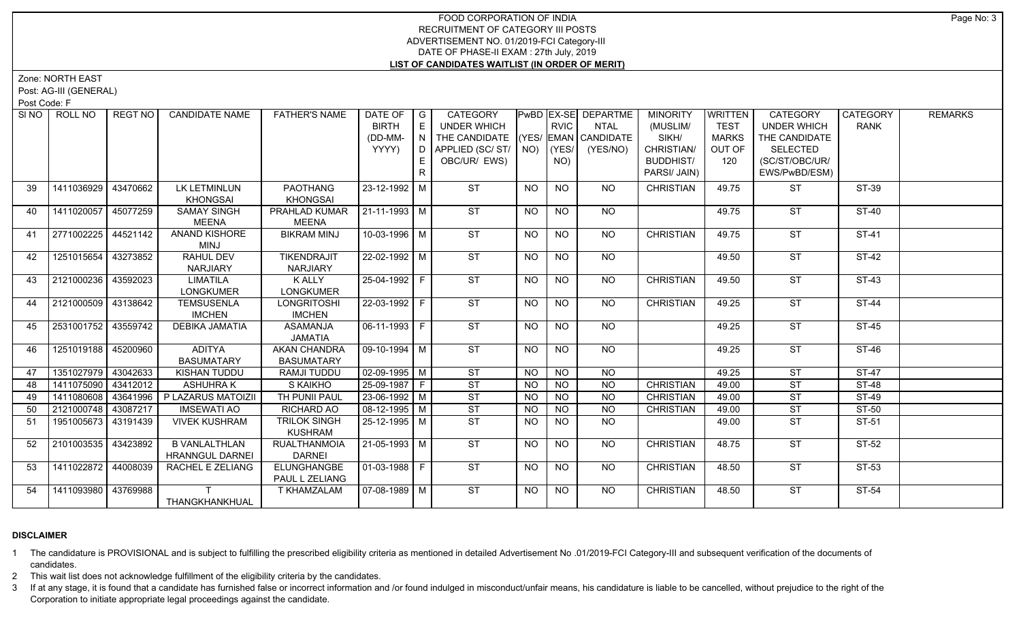## FOOD CORPORATION OF INDIA RECRUITMENT OF CATEGORY III POSTS ADVERTISEMENT NO. 01/2019-FCI Category-III DATE OF PHASE-II EXAM : 27th July, 2019 **LIST OF CANDIDATES WAITLIST (IN ORDER OF MERIT)**

Zone: NORTH EAST

Post: AG-III (GENERAL)

Post Code: F

| SI <sub>NO</sub> | ROLL NO             | <b>REGT NO</b> | <b>CANDIDATE NAME</b>                          | <b>FATHER'S NAME</b>                     | DATE OF $ G $<br><b>BIRTH</b><br>(DD-MM-<br>YYYY) | E.<br>E.<br>R | CATEGORY<br>UNDER WHICH<br>THE CANDIDATE (YES/ EMAN CANDIDATE<br>D APPLIED (SC/ ST/ NO)<br>OBC/UR/ EWS) |                | <b>RVIC</b><br>$ $ (YES/<br>NO) | <b>PwBD EX-SE DEPARTME</b><br>NTAL<br>(YES/NO) | <b>MINORITY</b><br>(MUSLIM/<br>SIKH/<br>CHRISTIAN/<br><b>BUDDHIST/</b><br>PARSI/ JAIN) | WRITTEN<br><b>TEST</b><br><b>MARKS</b><br>OUT OF<br>120 | <b>CATEGORY</b><br><b>UNDER WHICH</b><br>THE CANDIDATE<br><b>SELECTED</b><br>(SC/ST/OBC/UR/<br>EWS/PwBD/ESM) | CATEGORY<br><b>RANK</b> | <b>REMARKS</b> |
|------------------|---------------------|----------------|------------------------------------------------|------------------------------------------|---------------------------------------------------|---------------|---------------------------------------------------------------------------------------------------------|----------------|---------------------------------|------------------------------------------------|----------------------------------------------------------------------------------------|---------------------------------------------------------|--------------------------------------------------------------------------------------------------------------|-------------------------|----------------|
| 39               | 1411036929          | 43470662       | LK LETMINLUN<br><b>KHONGSAI</b>                | <b>PAOTHANG</b><br><b>KHONGSAI</b>       | 23-12-1992 M                                      |               | <b>ST</b>                                                                                               | <b>NO</b>      | <b>NO</b>                       | NO.                                            | <b>CHRISTIAN</b>                                                                       | 49.75                                                   | <b>ST</b>                                                                                                    | ST-39                   |                |
| 40               | 1411020057 45077259 |                | <b>SAMAY SINGH</b><br><b>MEENA</b>             | PRAHLAD KUMAR<br><b>MEENA</b>            | $ 21 - 11 - 1993 $ M                              |               | <b>ST</b>                                                                                               | <b>NO</b>      | <b>NO</b>                       | NO                                             |                                                                                        | 49.75                                                   | <b>ST</b>                                                                                                    | <b>ST-40</b>            |                |
| 41               | 2771002225 44521142 |                | ANAND KISHORE<br>MINJ                          | <b>BIKRAM MINJ</b>                       | 10-03-1996 M                                      |               | ST                                                                                                      | NO             | <b>NO</b>                       | NO                                             | <b>CHRISTIAN</b>                                                                       | 49.75                                                   | $\overline{\mathsf{ST}}$                                                                                     | ST-41                   |                |
| 42               | 1251015654          | 43273852       | <b>RAHUL DEV</b><br>NARJIARY                   | <b>TIKENDRAJIT</b><br><b>NARJIARY</b>    | 22-02-1992 M                                      |               | <b>ST</b>                                                                                               | <b>NO</b>      | NO.                             | NO.                                            |                                                                                        | 49.50                                                   | $\overline{\text{ST}}$                                                                                       | ST-42                   |                |
| 43               | 2121000236 43592023 |                | <b>LIMATILA</b><br><b>LONGKUMER</b>            | K ALLY<br>LONGKUMER                      | 25-04-1992 F                                      |               | ST                                                                                                      | NO             | <b>NO</b>                       | NO                                             | <b>CHRISTIAN</b>                                                                       | 49.50                                                   | ST                                                                                                           | $ST-43$                 |                |
| 44               | 2121000509 43138642 |                | <b>TEMSUSENLA</b><br><b>IMCHEN</b>             | <b>LONGRITOSHI</b><br><b>IMCHEN</b>      | 22-03-1992 F                                      |               | ST                                                                                                      | <b>NO</b>      | N <sub>O</sub>                  | $N$ <sup>O</sup>                               | <b>CHRISTIAN</b>                                                                       | 49.25                                                   | <b>ST</b>                                                                                                    | <b>ST-44</b>            |                |
| 45               | 2531001752 43559742 |                | DEBIKA JAMATIA                                 | <b>ASAMANJA</b><br><b>JAMATIA</b>        | $ 06-11-1993 F$                                   |               | ST                                                                                                      | <b>NO</b>      | <b>NO</b>                       | <b>NO</b>                                      |                                                                                        | 49.25                                                   | <b>ST</b>                                                                                                    | <b>ST-45</b>            |                |
| 46               | 1251019188 45200960 |                | <b>ADITYA</b><br><b>BASUMATARY</b>             | <b>AKAN CHANDRA</b><br><b>BASUMATARY</b> | $\sqrt{09-10-1994}$ M                             |               | ST                                                                                                      | <b>NO</b>      | <b>NO</b>                       | NO                                             |                                                                                        | 49.25                                                   | $\overline{\mathsf{ST}}$                                                                                     | $ST-46$                 |                |
| 47               | 1351027979 43042633 |                | KISHAN TUDDU                                   | <b>RAMJI TUDDU</b>                       | $\sqrt{02-09-1995}$ M                             |               | ST                                                                                                      | <b>NO</b>      | <b>NO</b>                       | <b>NO</b>                                      |                                                                                        | 49.25                                                   | <b>ST</b>                                                                                                    | $ST-47$                 |                |
| 48               | 1411075090 43412012 |                | <b>ASHUHRAK</b>                                | S KAIKHO                                 | $25-09-1987$ F                                    |               | ST                                                                                                      | N <sub>O</sub> | N <sub>O</sub>                  | $\overline{NO}$                                | <b>CHRISTIAN</b>                                                                       | 49.00                                                   | <b>ST</b>                                                                                                    | $ST-48$                 |                |
| 49               | 1411080608 43641996 |                | P LAZARUS MATOIZII                             | TH PUNII PAUL                            | $23 - 06 - 1992$ M                                |               | $\overline{\text{ST}}$                                                                                  | <b>NO</b>      | N <sub>O</sub>                  | $\overline{NO}$                                | <b>CHRISTIAN</b>                                                                       | 49.00                                                   | $\overline{\text{ST}}$                                                                                       | $ST-49$                 |                |
| 50               | 2121000748 43087217 |                | <b>IMSEWATI AO</b>                             | <b>RICHARD AO</b>                        | 08-12-1995   M                                    |               | ST                                                                                                      | <b>NO</b>      | <b>NO</b>                       | <b>NO</b>                                      | <b>CHRISTIAN</b>                                                                       | 49.00                                                   | <b>ST</b>                                                                                                    | $ST-50$                 |                |
| 51               | 1951005673 43191439 |                | <b>VIVEK KUSHRAM</b>                           | TRILOK SINGH<br><b>KUSHRAM</b>           | 25-12-1995 M                                      |               | $\overline{\text{ST}}$                                                                                  | NO.            | NO.                             | NO.                                            |                                                                                        | 49.00                                                   | <b>ST</b>                                                                                                    | ST-51                   |                |
| 52               | 2101003535 43423892 |                | <b>B VANLALTHLAN</b><br><b>HRANNGUL DARNEI</b> | <b>RUALTHANMOIA</b><br><b>DARNEI</b>     | $21 - 05 - 1993$ M                                |               | $\overline{\text{ST}}$                                                                                  | <b>NO</b>      | <b>NO</b>                       | NO                                             | <b>CHRISTIAN</b>                                                                       | 48.75                                                   | <b>ST</b>                                                                                                    | $ST-52$                 |                |
| 53               | 1411022872 44008039 |                | RACHEL E ZELIANG                               | ELUNGHANGBE<br>PAUL L ZELIANG            | 01-03-1988   F                                    |               | ST                                                                                                      | <b>NO</b>      | <b>NO</b>                       | NO                                             | <b>CHRISTIAN</b>                                                                       | 48.50                                                   | <b>ST</b>                                                                                                    | ST-53                   |                |
| 54               | 1411093980 43769988 |                | THANGKHANKHUAL                                 | <b>T KHAMZALAM</b>                       | 07-08-1989 M                                      |               | ST                                                                                                      | NO.            | <b>NO</b>                       | NO                                             | <b>CHRISTIAN</b>                                                                       | 48.50                                                   | <b>ST</b>                                                                                                    | ST-54                   |                |

## **DISCLAIMER**

1 The candidature is PROVISIONAL and is subject to fulfilling the prescribed eligibility criteria as mentioned in detailed Advertisement No .01/2019-FCI Category-III and subsequent verification of the documents of candidates.

2 This wait list does not acknowledge fulfillment of the eligibility criteria by the candidates.

3 If at any stage, it is found that a candidate has furnished false or incorrect information and /or found indulged in misconduct/unfair means, his candidature is liable to be cancelled, without prejudice to the right of t Corporation to initiate appropriate legal proceedings against the candidate.

Page No: 3